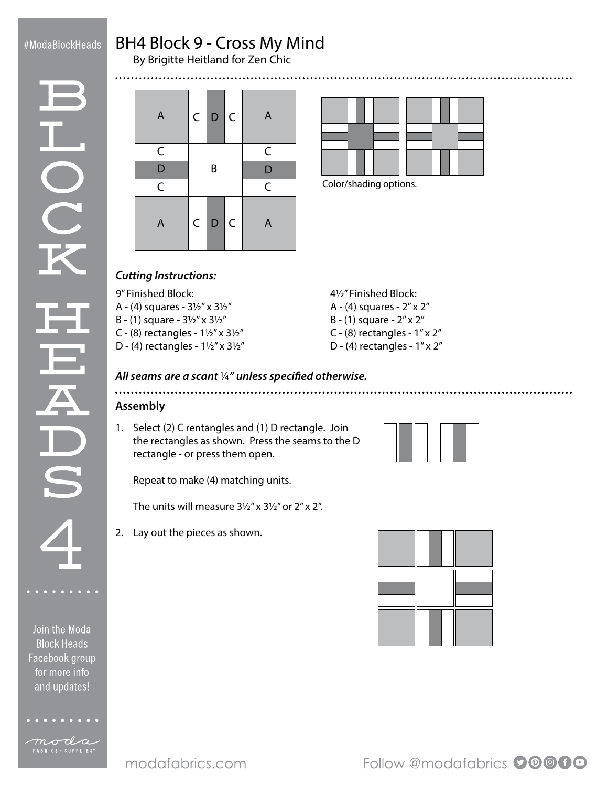# #ModaBlockHeads

.....

# BH4 Block 9 - Cross My Mind

By Brigitte Heitland for Zen Chic



mocla

| A              | $\subset  $ | $\mathsf{D}$ | $\mathsf{C}$ | $\overline{A}$          |
|----------------|-------------|--------------|--------------|-------------------------|
| C              |             |              |              | C                       |
| D              | B           |              |              | $\mathsf{D}$            |
| $\overline{C}$ |             |              |              | $\overline{\mathsf{C}}$ |
| A              | $\subset  $ | $\mathsf D$  | $\mathsf{C}$ | $\overline{A}$          |



Color/shading options.

# *Cutting Instructions:*

9" Finished Block:

- A (4) squares 3½" x 3½"
- B (1) square 3½" x 3½"
- C (8) rectangles  $1\frac{1}{2}$ " x  $3\frac{1}{2}$ "
- D (4) rectangles 1½" x 3½"
- 4½" Finished Block:
- A (4) squares 2" x 2"
- B (1) square 2" x 2"

- C (8) rectangles  $1'' \times 2''$
- D (4) rectangles  $1''$  x  $2''$

#### *All seams are a scant* ¼*" unless specified otherwise.*

# **Assembly**

1. Select (2) C rentangles and (1) D rectangle. Join the rectangles as shown. Press the seams to the D rectangle - or press them open.

Repeat to make (4) matching units.

The units will measure 3½" x 3½" or 2" x 2".

2. Lay out the pieces as shown.



Follow @modafabrics 00000